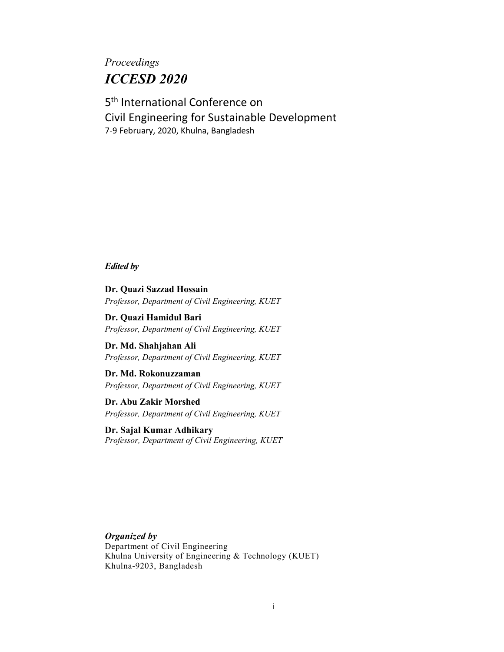# *Proceedings ICCESD 2020*

5<sup>th</sup> International Conference on Civil Engineering for Sustainable Development 7-9 February, 2020, Khulna, Bangladesh

*Edited by*

**Dr. Quazi Sazzad Hossain** *Professor, Department of Civil Engineering, KUET*

**Dr. Quazi Hamidul Bari** *Professor, Department of Civil Engineering, KUET*

**Dr. Md. Shahjahan Ali** *Professor, Department of Civil Engineering, KUET*

**Dr. Md. Rokonuzzaman** *Professor, Department of Civil Engineering, KUET*

**Dr. Abu Zakir Morshed** *Professor, Department of Civil Engineering, KUET*

**Dr. Sajal Kumar Adhikary** *Professor, Department of Civil Engineering, KUET*

*Organized by* Department of Civil Engineering Khulna University of Engineering & Technology (KUET) Khulna-9203, Bangladesh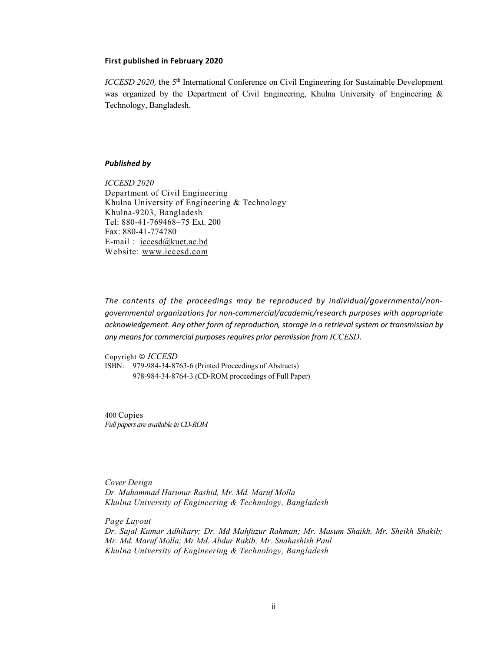## **First published in February 2020**

*ICCESD 2020*, the 5<sup>th</sup> International Conference on Civil Engineering for Sustainable Development was organized by the Department of Civil Engineering, Khulna University of Engineering & Technology, Bangladesh.

## *Published by*

*ICCESD 2020* Department of Civil Engineering Khulna University of Engineering & Technology Khulna-9203, Bangladesh Tel: 880-41-769468~75 Ext. 200 Fax: 880-41-774780 E-mail : iccesd@kuet.ac.bd Website: www.iccesd.com

*The contents of the proceedings may be reproduced by individual/governmental/nongovernmental organizations for non-commercial/academic/research purposes with appropriate acknowledgement*. *Any other form of reproduction, storage in a retrieval system or transmission by any means for commercial purposes requires prior permission from ICCESD*.

Copyright © *ICCESD* ISBN: 979-984-34-8763-6 (Printed Proceedings of Abstracts) 978-984-34-8764-3 (CD-ROM proceedings of Full Paper)

400 Copies *Full papers are available in CD-ROM* 

*Cover Design Dr. Muhammad Harunur Rashid, Mr. Md. Maruf Molla Khulna University of Engineering & Technology, Bangladesh*

*Page Layout Dr. Sajal Kumar Adhikary; Dr. Md Mahfuzur Rahman; Mr. Masum Shaikh, Mr. Sheikh Shakib; Mr. Md. Maruf Molla; Mr Md. Abdur Rakib; Mr. Snahashish Paul Khulna University of Engineering & Technology, Bangladesh*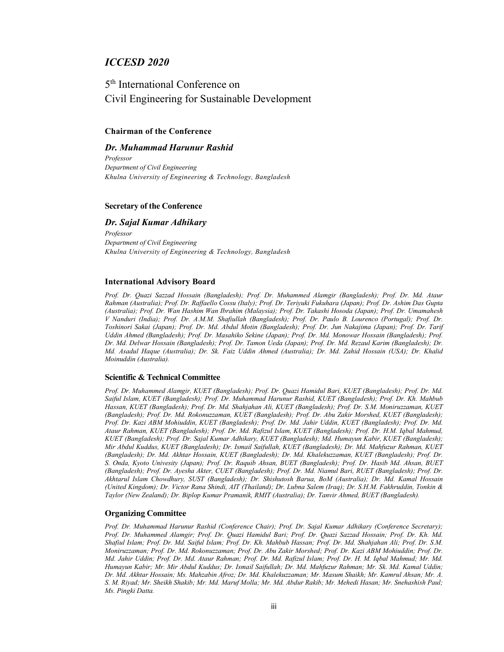# *ICCESD 2020*

5<sup>th</sup> International Conference on Civil Engineering for Sustainable Development

## **Chairman of the Conference**

## *Dr. Muhammad Harunur Rashid*

*Professor Department of Civil Engineering Khulna University of Engineering & Technology, Bangladesh* 

## **Secretary of the Conference**

## *Dr. Sajal Kumar Adhikary*

*Professor Department of Civil Engineering Khulna University of Engineering & Technology, Bangladesh*

## **International Advisory Board**

*Prof. Dr. Quazi Sazzad Hossain (Bangladesh); Prof. Dr. Muhammed Alamgir (Bangladesh); Prof. Dr. Md. Ataur Rahman (Australia); Prof. Dr. Raffaello Cossu (Italy); Prof. Dr. Teriyuki Fukuhara (Japan); Prof. Dr. Ashim Das Gupta (Australia); Prof. Dr. Wan Hashim Wan Ibrahim (Malaysia); Prof. Dr. Takashi Hosoda (Japan); Prof. Dr. Umamahesh V Nanduri (India); Prof. Dr. A.M.M. Shafiullah (Bangladesh); Prof. Dr. Paulo B. Lourenco (Portugal); Prof. Dr. Toshinori Sakai (Japan); Prof. Dr. Md. Abdul Motin (Bangladesh); Prof. Dr. Jun Nakajima (Japan); Prof. Dr. Tarif Uddin Ahmed (Bangladesh); Prof. Dr. Masahiko Sekine (Japan); Prof. Dr. Md. Monowar Hossain (Bangladesh); Prof. Dr. Md. Delwar Hossain (Bangladesh); Prof. Dr. Tamon Ueda (Japan); Prof. Dr. Md. Rezaul Karim (Bangladesh); Dr. Md. Asadul Haque (Australia); Dr. Sk. Faiz Uddin Ahmed (Australia); Dr. Md. Zahid Hossain (USA); Dr. Khalid Moinuddin (Australia).*

#### **Scientific & Technical Committee**

*Prof. Dr. Muhammed Alamgir, KUET (Bangladesh); Prof. Dr. Quazi Hamidul Bari, KUET (Bangladesh); Prof. Dr. Md. Saiful Islam, KUET (Bangladesh); Prof. Dr. Muhammad Harunur Rashid, KUET (Bangladesh); Prof. Dr. Kh. Mahbub Hassan, KUET (Bangladesh); Prof. Dr. Md. Shahjahan Ali, KUET (Bangladesh); Prof. Dr. S.M. Moniruzzaman, KUET (Bangladesh); Prof. Dr. Md. Rokonuzzaman, KUET (Bangladesh); Prof. Dr. Abu Zakir Morshed, KUET (Bangladesh); Prof. Dr. Kazi ABM Mohiuddin, KUET (Bangladesh); Prof. Dr. Md. Jahir Uddin, KUET (Bangladesh); Prof. Dr. Md. Ataur Rahman, KUET (Bangladesh); Prof. Dr. Md. Rafizul Islam, KUET (Bangladesh); Prof. Dr. H.M. Iqbal Mahmud, KUET (Bangladesh); Prof. Dr. Sajal Kumar Adhikary, KUET (Bangladesh); Md. Humayun Kabir, KUET (Bangladesh); Mir Abdul Kuddus, KUET (Bangladesh); Dr. Ismail Saifullah, KUET (Bangladesh); Dr. Md. Mahfuzur Rahman, KUET (Bangladesh); Dr. Md. Akhtar Hossain, KUET (Bangladesh); Dr. Md. Khalekuzzaman, KUET (Bangladesh); Prof. Dr. S. Onda, Kyoto Univesity (Japan); Prof. Dr. Raquib Ahsan, BUET (Bangladesh); Prof. Dr. Hasib Md. Ahsan, BUET (Bangladesh); Prof. Dr. Ayesha Akter, CUET (Bangladesh); Prof. Dr. Md. Niamul Bari, RUET (Bangladesh); Prof. Dr. Akhtarul Islam Chowdhury, SUST (Bangladesh); Dr. Shishutosh Barua, BoM (Australia); Dr. Md. Kamal Hossain (United Kingdom); Dr. Victor Rana Shindi, AIT (Thailand); Dr. Lubna Salem (Iraq); Dr. S.H.M. Fakhruddin, Tonkin & Taylor (New Zealand); Dr. Biplop Kumar Pramanik, RMIT (Australia); Dr. Tanvir Ahmed, BUET (Bangladesh).*

## **Organizing Committee**

*Prof. Dr. Muhammad Harunur Rashid (Conference Chair); Prof. Dr. Sajal Kumar Adhikary (Conference Secretary); Prof. Dr. Muhammed Alamgir; Prof. Dr. Quazi Hamidul Bari; Prof. Dr. Quazi Sazzad Hossain; Prof. Dr. Kh. Md. Shafiul Islam; Prof. Dr. Md. Saiful Islam; Prof. Dr. Kh. Mahbub Hassan; Prof. Dr. Md. Shahjahan Ali; Prof. Dr. S.M. Moniruzzaman; Prof. Dr. Md. Rokonuzzaman; Prof. Dr. Abu Zakir Morshed; Prof. Dr. Kazi ABM Mohiuddin; Prof. Dr. Md. Jahir Uddin; Prof. Dr. Md. Ataur Rahman; Prof. Dr. Md. Rafizul Islam; Prof. Dr. H. M. Iqbal Mahmud; Mr. Md. Humayun Kabir; Mr. Mir Abdul Kuddus; Dr. Ismail Saifullah; Dr. Md. Mahfuzur Rahman; Mr. Sk. Md. Kamal Uddin; Dr. Md. Akhtar Hossain; Ms. Mahzabin Afroz; Dr. Md. Khalekuzzaman; Mr. Masum Shaikh; Mr. Kamrul Ahsan; Mr. A. S. M. Riyad; Mr. Sheikh Shakib; Mr. Md. Maruf Molla; Mr. Md. Abdur Rakib; Mr. Mehedi Hasan; Mr. Snehashish Paul; Ms. Pingki Datta.*